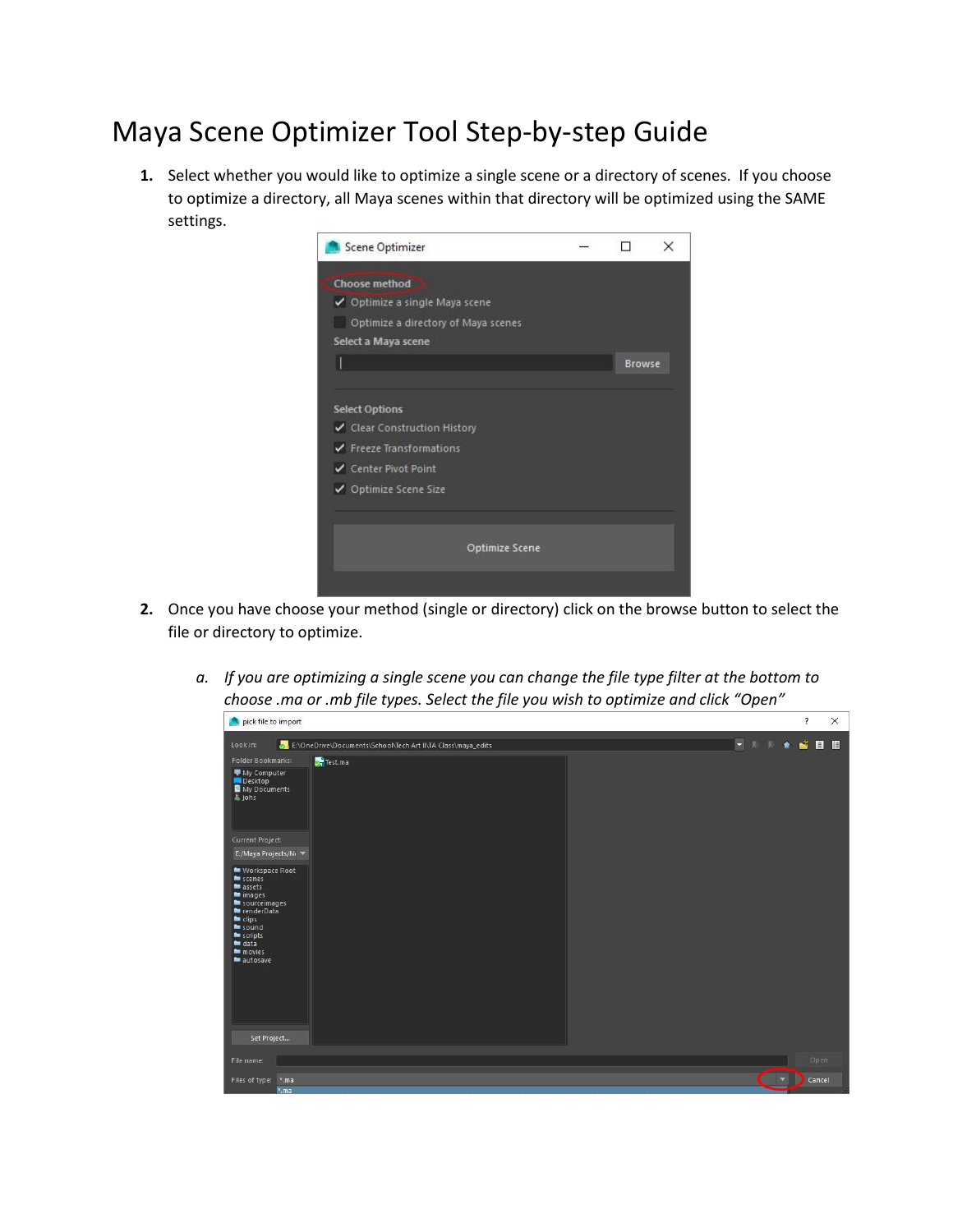## Maya Scene Optimizer Tool Step-by-step Guide

**1.** Select whether you would like to optimize a single scene or a directory of scenes. If you choose to optimize a directory, all Maya scenes within that directory will be optimized using the SAME settings.



- **2.** Once you have choose your method (single or directory) click on the browse button to select the file or directory to optimize.
	- *a. If you are optimizing a single scene you can change the file type filter at the bottom to choose .ma or .mb file types. Select the file you wish to optimize and click "Open"*

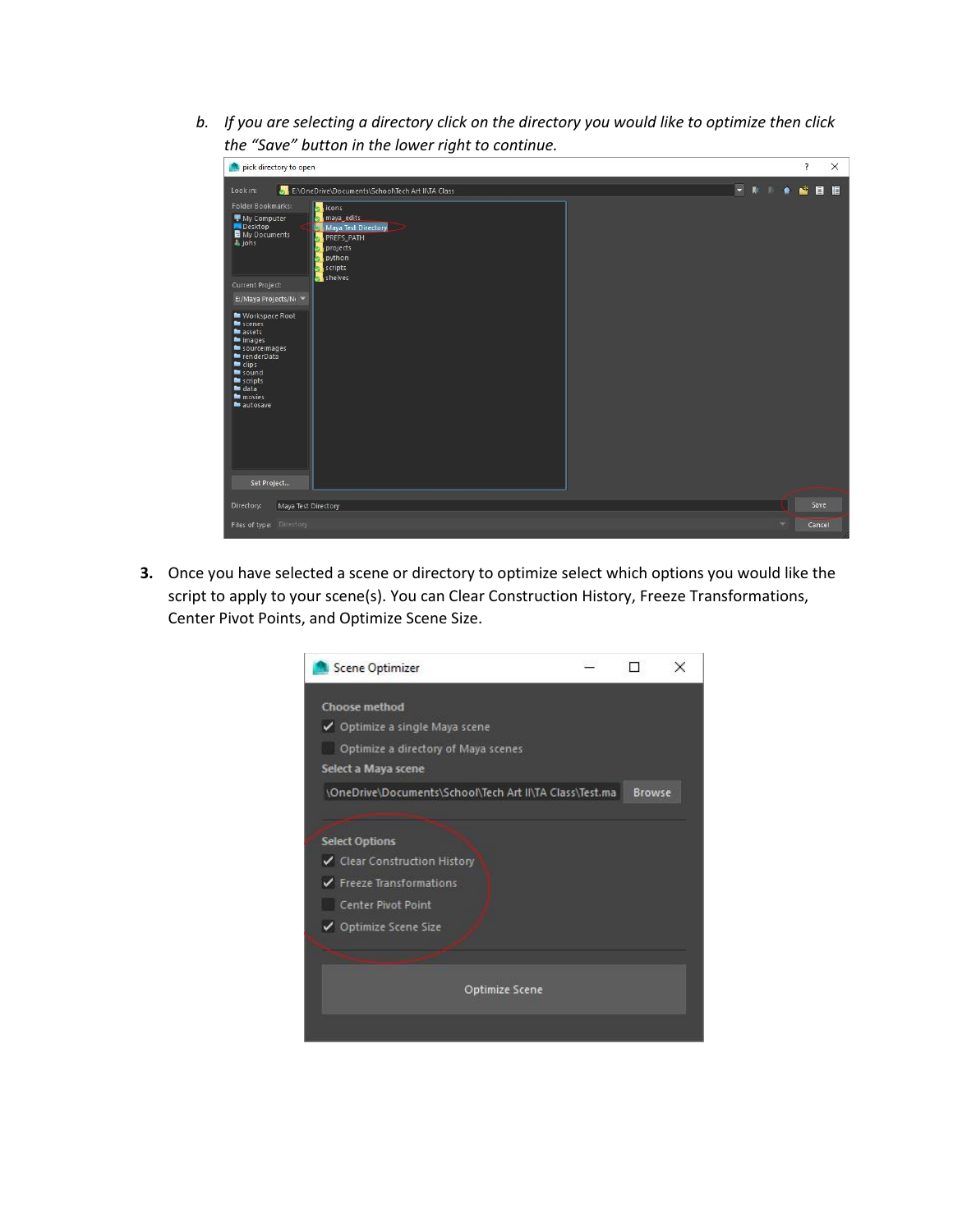*b. If you are selecting a directory click on the directory you would like to optimize then click the "Save" button in the lower right to continue.* 

| -<br>pick directory to open                                                                                                                                                                                                                                                                                                                                                                                                           |                      |                |                          |   | $\overline{?}$ |      | X |
|---------------------------------------------------------------------------------------------------------------------------------------------------------------------------------------------------------------------------------------------------------------------------------------------------------------------------------------------------------------------------------------------------------------------------------------|----------------------|----------------|--------------------------|---|----------------|------|---|
| E:\OneDrive\Documents\School\Tech Art II\TA Class<br>Look in:                                                                                                                                                                                                                                                                                                                                                                         | $\blacktriangledown$ | R <sub>c</sub> |                          | ٠ | SEE            |      |   |
| <b>Folder Bookmarks:</b><br>icons<br>maya_edits<br>My Computer<br>Desktop<br>Maya Test Directory<br>My Documents<br>PREFS_PATH<br>b johs<br>projects<br>python<br>scripts<br>shelves<br>Current Project:<br>E:/Maya Projects/N⊢ ▼<br>Workspace Root<br>scenes<br>assets<br>mimages<br>sourceimages<br>renderData<br>$\blacksquare$ clips<br>$\blacksquare$ sound<br><b>Muscripts</b><br>$=$ data<br>movies<br>autosave<br>Set Project |                      |                |                          |   |                |      |   |
| Directory:<br>Maya Test Directory                                                                                                                                                                                                                                                                                                                                                                                                     |                      |                |                          |   |                | Save |   |
| Files of type: Directory                                                                                                                                                                                                                                                                                                                                                                                                              |                      |                | $\overline{\phantom{a}}$ |   | Cancel         |      |   |

**3.** Once you have selected a scene or directory to optimize select which options you would like the script to apply to your scene(s). You can Clear Construction History, Freeze Transformations, Center Pivot Points, and Optimize Scene Size.

| Choose method<br>✔ Optimize a single Maya scene<br>Optimize a directory of Maya scenes<br>Select a Maya scene<br>\OneDrive\Documents\School\Tech Art II\TA Class\Test.ma<br><b>Select Options</b><br>✔ Clear Construction History<br>✔ Freeze Transformations<br>Center Pivot Point<br>✔ Optimize Scene Size |               |
|--------------------------------------------------------------------------------------------------------------------------------------------------------------------------------------------------------------------------------------------------------------------------------------------------------------|---------------|
|                                                                                                                                                                                                                                                                                                              |               |
|                                                                                                                                                                                                                                                                                                              |               |
|                                                                                                                                                                                                                                                                                                              |               |
|                                                                                                                                                                                                                                                                                                              |               |
|                                                                                                                                                                                                                                                                                                              | <b>Browse</b> |
|                                                                                                                                                                                                                                                                                                              |               |
|                                                                                                                                                                                                                                                                                                              |               |
|                                                                                                                                                                                                                                                                                                              |               |
|                                                                                                                                                                                                                                                                                                              |               |
|                                                                                                                                                                                                                                                                                                              |               |
|                                                                                                                                                                                                                                                                                                              |               |
|                                                                                                                                                                                                                                                                                                              |               |
|                                                                                                                                                                                                                                                                                                              |               |
| Optimize Scene                                                                                                                                                                                                                                                                                               |               |
|                                                                                                                                                                                                                                                                                                              |               |